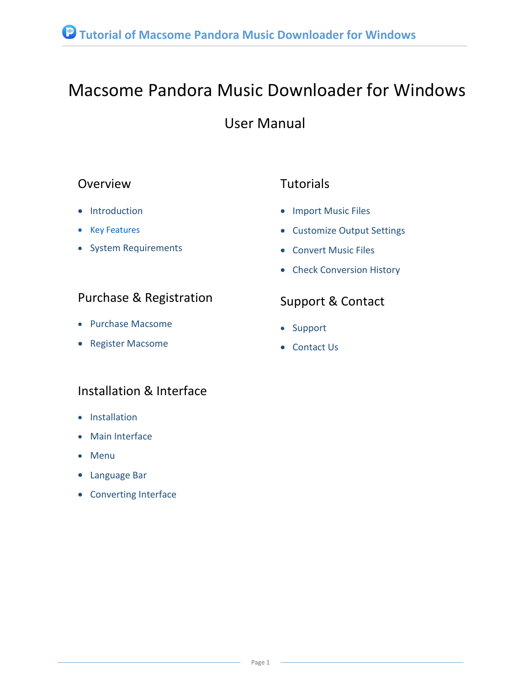# Macsome Pandora Music Downloader for Windows

## User Manual

### Overview

- [Introduction](#page-1-0)
- Key [Features](#page-1-1)
- System [Requirements](#page-1-2)

### **Tutorials**

- [Import](#page-11-0) Music Files
- [Customize](#page-13-0) Output Settings
- [Convert](#page-13-1) Music Files
- Check [Conversion](#page-14-0) History

## Purchase & Registration

- Purchase [Macsome](#page-2-0)
- Register [Macsome](#page-3-0)

## Installation & Interface

- [Installation](#page-6-0)
- Main [Interface](#page-6-1)
- [Menu](#page-7-0)
- [Language](#page-8-0) Bar
- [Converting](#page-9-0) Interface

## Support & Contact

- [Support](#page-16-0)
- [Contact](#page-16-1) Us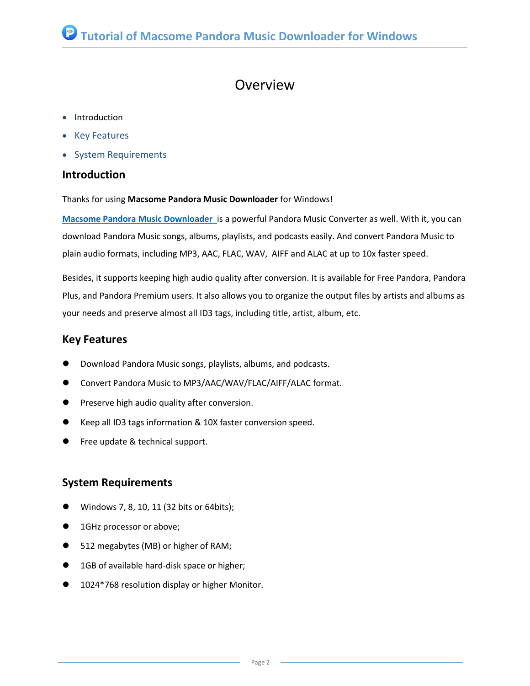## Overview

- Introduction
- Key [Features](#page-1-1)
- System [Requirements](#page-1-2)

#### <span id="page-1-0"></span>**Introduction**

#### Thanks for using **Macsome Pandora Music Downloader** for Windows!

**Macsome Pandora Music [Downloader](https://www.macsome.com/pandora-music-downloader/)** is a powerful Pandora Music Converter as well. With it, you can download Pandora Music songs, albums, playlists, and podcasts easily. And convert Pandora Music to plain audio formats, including MP3, AAC, FLAC, WAV, AIFF and ALAC at up to 10x faster speed.

Besides, it supports keeping high audio quality after conversion. It is available for Free Pandora, Pandora Plus, and Pandora Premium users. It also allows you to organize the output files by artists and albums as your needs and preserve almost all ID3 tags, including title, artist, album, etc.

#### <span id="page-1-1"></span>**Key Features**

- Download Pandora Music songs, playlists, albums, and podcasts.
- Convert Pandora Music to MP3/AAC/WAV/FLAC/AIFF/ALAC format.
- **•** Preserve high audio quality after conversion.
- Keep all ID3 tags information & 10X faster conversion speed.
- Free update & technical support.

#### <span id="page-1-2"></span>**System Requirements**

- Windows 7, 8, 10, 11 (32 bits or 64bits);
- 1GHz processor or above;
- 512 megabytes (MB) or higher of RAM;
- 1GB of available hard-disk space or higher;
- 1024\*768 resolution display or higher Monitor.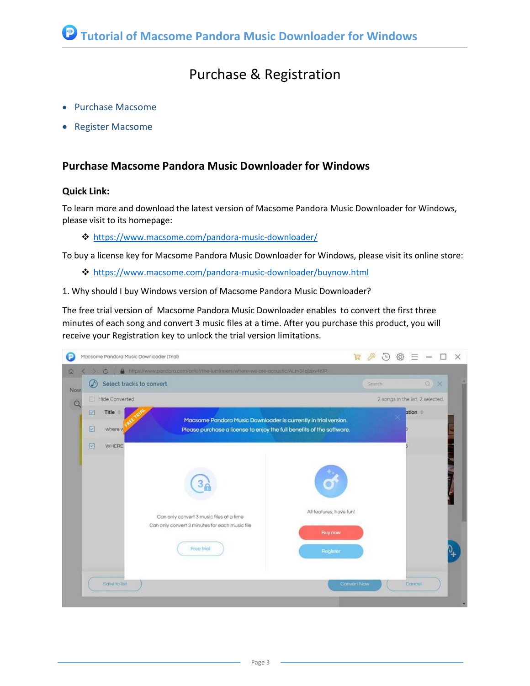## Purchase & Registration

- Purchase [Macsome](#page-2-0)
- Register [Macsome](#page-3-0)

#### <span id="page-2-0"></span>**Purchase Macsome Pandora Music Downloader for Windows**

#### **Quick Link:**

To learn more and download the latest version of Macsome Pandora Music Downloader for Windows, please visit to its homepage:

<https://www.macsome.com/pandora-music-downloader/>

To buy a license key for Macsome Pandora Music Downloader for Windows, please visit its [online](http://www.syncios.com/data-transfer/purchase.html) store:

<https://www.macsome.com/pandora-music-downloader/buynow.html>

1. Why should I buy Windows version of Macsome Pandora Music Downloader?

The free trial version of Macsome Pandora Music Downloader enables to convert the first three minutes of each song and convert 3 music files at a time. After you purchase this product, you will receive your Registration key to unlock the trial version limitations.

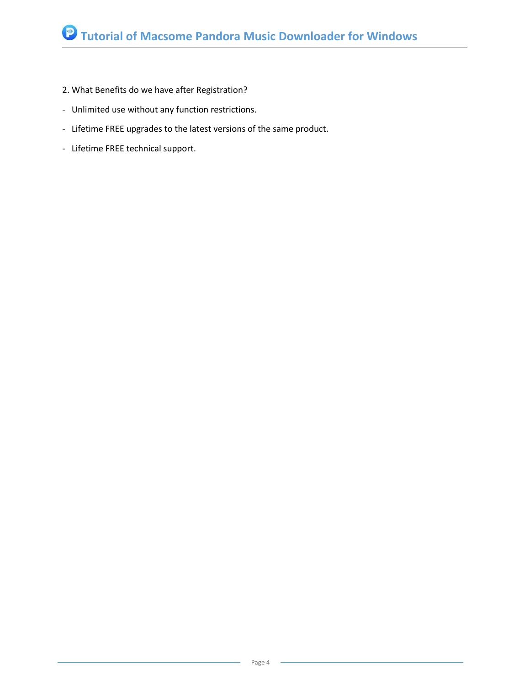- 2. What Benefits do we have after Registration?
- Unlimited use without any function restrictions.
- Lifetime FREE upgrades to the latest versions of the same product.
- <span id="page-3-0"></span>- Lifetime FREE technical support.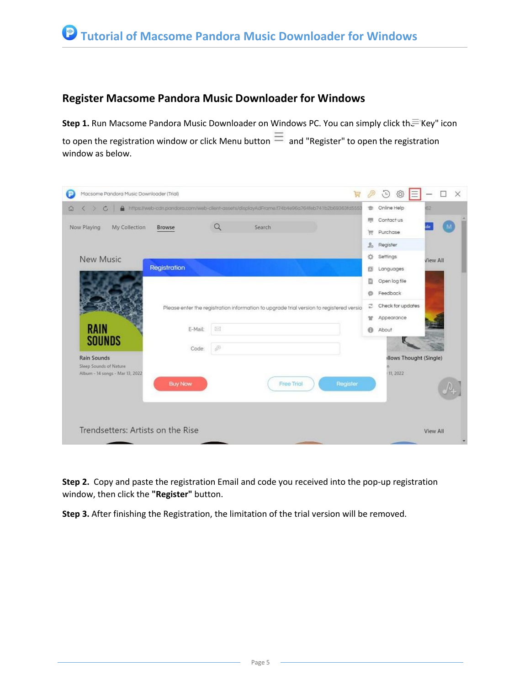#### **Register Macsome Pandora Music Downloader for Windows**

**Step 1.** Run Macsome Pandora Music Downloader on Windows PC. You can simply click th∈ Key" icon to open the registration window or click Menu button  $\equiv$  and "Register" to open the registration window as below.

| $\mathcal{C}$<br>×                                        |                                   |               |        | https://web-cdn.pandera.com/web-client-assets/displayAdFrame.f74b4e96a764feb741b2b69363fd5553 | 合                   | 0<br>Online Help        | 62       |
|-----------------------------------------------------------|-----------------------------------|---------------|--------|-----------------------------------------------------------------------------------------------|---------------------|-------------------------|----------|
| My Collection<br>Now Playing                              | <b>Browse</b>                     | $\alpha$      | Search |                                                                                               | 国                   | Contact us<br>Purchase  |          |
|                                                           |                                   |               |        |                                                                                               | 舞<br>2 <sub>0</sub> | Register                |          |
| <b>New Music</b>                                          |                                   |               |        |                                                                                               | Ö                   | Settings                | View All |
|                                                           | Registration                      |               |        |                                                                                               | 恧                   | Languages               |          |
|                                                           |                                   |               |        |                                                                                               | b                   | Open log file           |          |
|                                                           |                                   |               |        |                                                                                               | e                   | Feedback                |          |
|                                                           |                                   |               |        | Please enter the registration information to upgrade trial version to registered versio       | ø                   | Check for updates       |          |
|                                                           |                                   |               |        |                                                                                               | w                   | Appearance              |          |
| <b>RAIN</b>                                               | E-Mail:                           | 网             |        |                                                                                               | $\Theta$            | About                   |          |
| <b>SOUNDS</b>                                             | Code:                             | $\mathcal{S}$ |        |                                                                                               |                     |                         |          |
| <b>Rain Sounds</b>                                        |                                   |               |        |                                                                                               |                     | illows Thought (Single) |          |
| Sleep Sounds of Nature<br>Album - 14 songs - Mar 13, 2022 |                                   |               |        |                                                                                               |                     | 11, 2022                |          |
|                                                           | <b>Buy Now</b>                    |               |        | <b>Free Trial</b>                                                                             | Register            |                         |          |
|                                                           |                                   |               |        |                                                                                               |                     |                         |          |
|                                                           |                                   |               |        |                                                                                               |                     |                         |          |
|                                                           | Trendsetters: Artists on the Rise |               |        |                                                                                               |                     |                         |          |

**Step 2.** Copy and paste the registration Email and code you received into the pop-up registration window, then click the **"Register"** button.

**Step 3.** After finishing the Registration, the limitation of the trial version will be removed.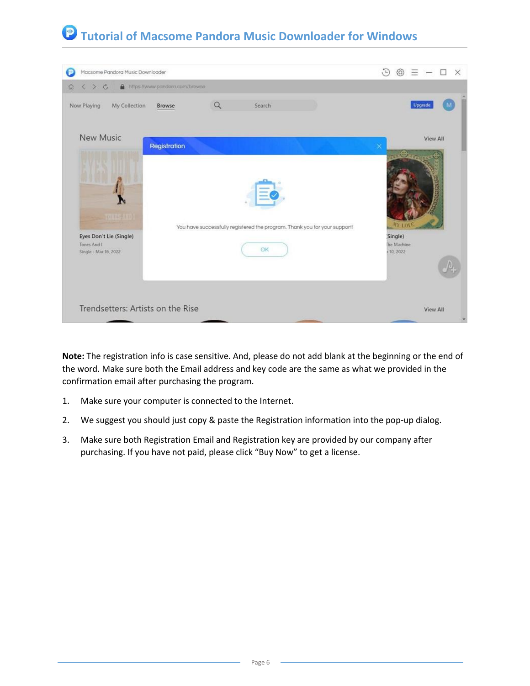

**Note:** The registration info is case sensitive. And, please do not add blank at the beginning or the end of the word. Make sure both the Email address and key code are the same as what we provided in the confirmation email after purchasing the program.

- 1. Make sure your computer is connected to the Internet.
- 2. We suggest you should just copy & paste the Registration information into the pop-up dialog.
- 3. Make sure both Registration Email and Registration key are provided by our company after purchasing. If you have not paid, please click "Buy Now" to get a license.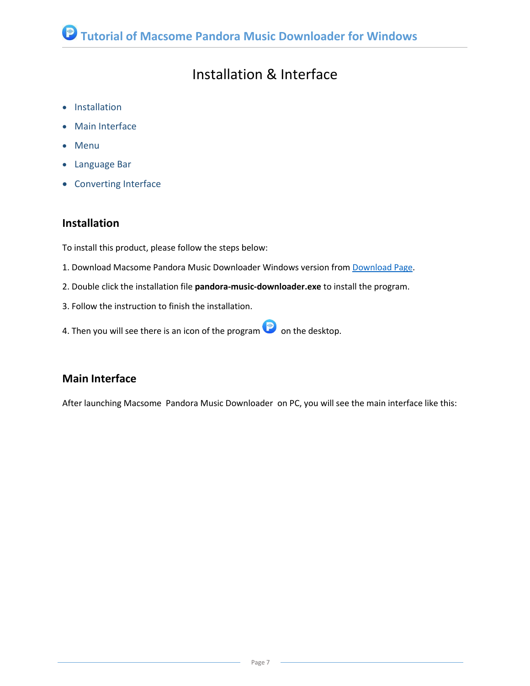## Installation & Interface

- [Installation](#page-6-0)
- Main [Interface](#page-6-1)
- [Menu](#page-7-0)
- [Language](#page-8-0) Bar
- [Converting](#page-9-0) Interface

#### <span id="page-6-0"></span>**Installation**

To install this product, please follow the steps below:

- 1. Download Macsome Pandora Music Downloader Windows version from [Download](https://www.macsome.com/downloads.html) Page.
- 2. Double click the installation file **pandora-music-downloader.exe** to install the program.
- 3. Follow the instruction to finish the installation.
- <span id="page-6-1"></span>4. Then you will see there is an icon of the program  $\bigoplus$  on the desktop.

#### **Main Interface**

After launching Macsome Pandora Music Downloader on PC, you will see the main interface like this: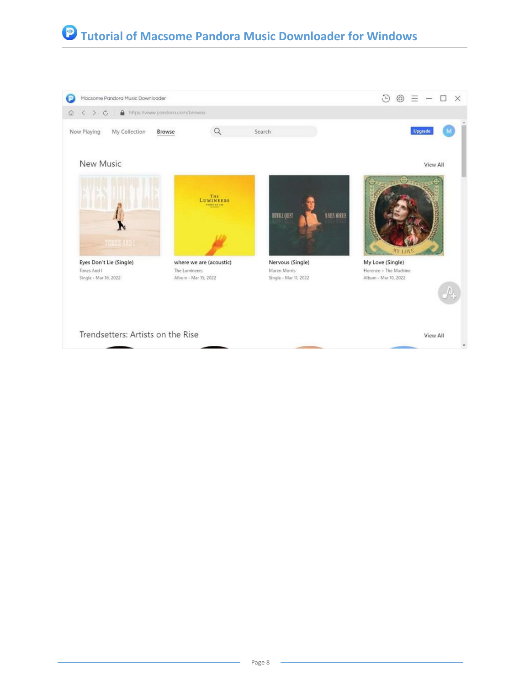<span id="page-7-0"></span>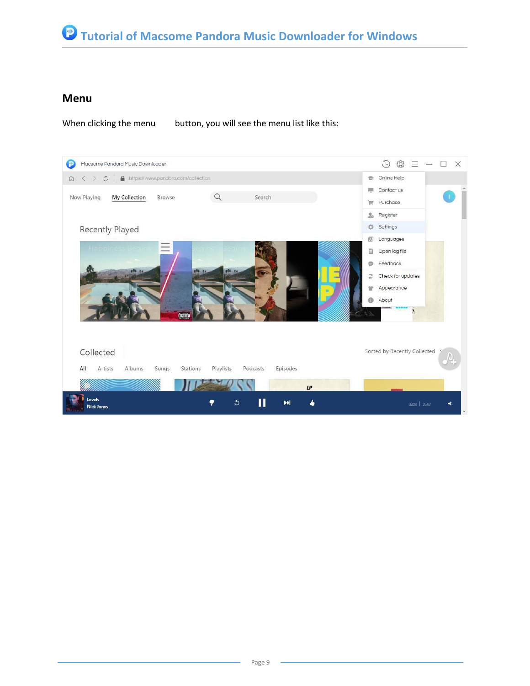#### **Menu**

When clicking the menu button, you will see the menu list like this:

<span id="page-8-0"></span>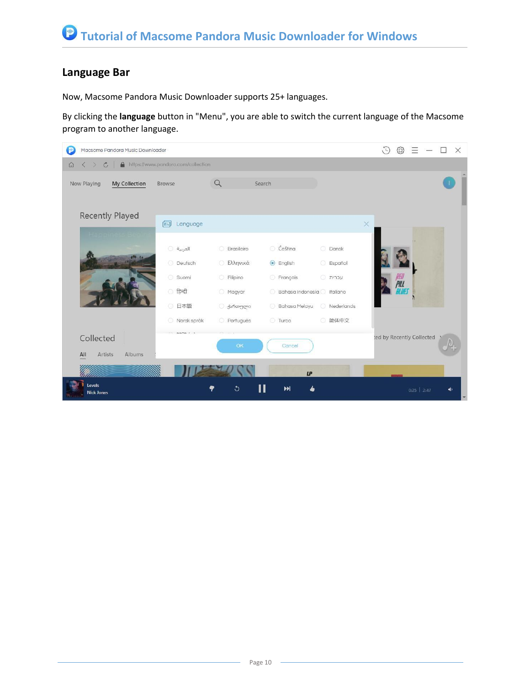#### **Language Bar**

Now, Macsome Pandora Music Downloader supports 25+ languages.

By clicking the **language** button in "Menu", you are able to switch the current language of the Macsome program to another language.

<span id="page-9-0"></span>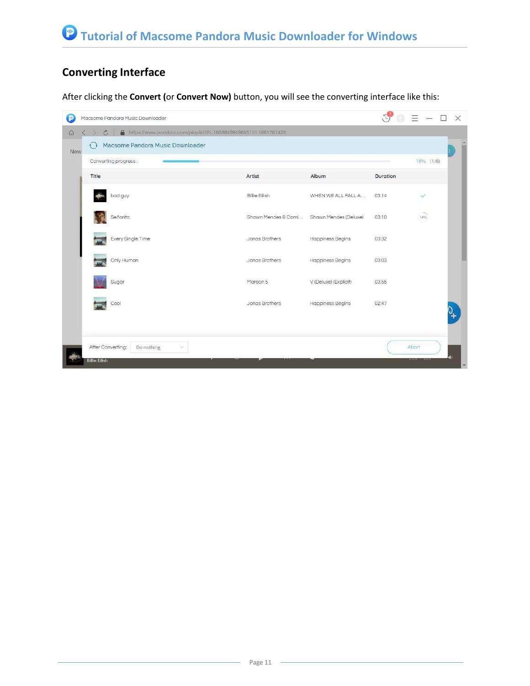### **Converting Interface**

After clicking the **Convert (**or **Convert Now)** button, you will see the converting interface like this:

| Macsome Pandora Music Downloader<br>$\left( \begin{array}{c} \uparrow \\ \uparrow \end{array} \right)$<br>Now |                      |                         |          |             |
|---------------------------------------------------------------------------------------------------------------|----------------------|-------------------------|----------|-------------|
| Converting progress:                                                                                          |                      |                         |          | $16%$ (1/6) |
| Title                                                                                                         | Artist               | Album                   | Duration |             |
| bad guy                                                                                                       | <b>Billie Eilish</b> | WHEN WE ALL FALL A      | 03:14    |             |
| Señorita                                                                                                      | Shawn Mendes & Cami  | Shawn Mendes (Deluxe)   | 03:10    | 14%         |
| Every Single Time                                                                                             | Jonas Brothers       | <b>Happiness Begins</b> | 03:32    |             |
| Only Human                                                                                                    | Jonas Brothers       | <b>Happiness Begins</b> | 03:03    |             |
| Sugar                                                                                                         | Maroon 5             | V (Deluxe) (Explicit)   | 03:55    |             |
| Cool                                                                                                          | Jonas Brothers       | <b>Happiness Begins</b> | 02:47    |             |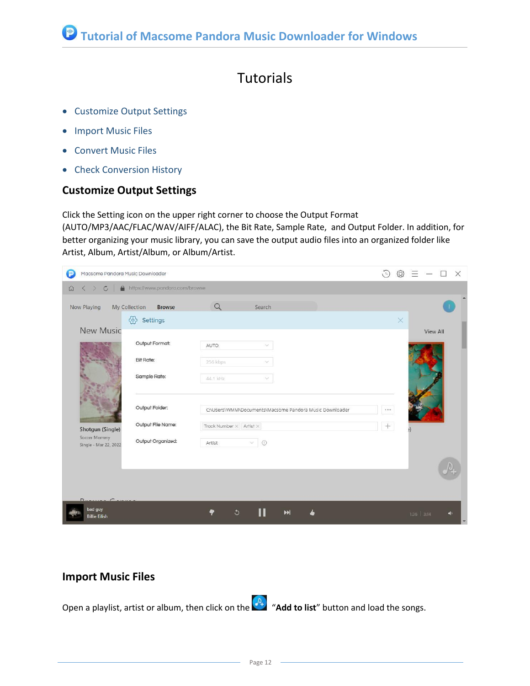## **Tutorials**

- [Customize](#page-13-0) Output Settings
- [Import](#page-11-0) Music Files
- [Convert](#page-13-1) Music Files
- Check [Conversion](#page-14-0) History

#### **Customize Output Settings**

Click the Setting icon on the upper right corner to choose the Output Format

(AUTO/MP3/AAC/FLAC/WAV/AIFF/ALAC), the Bit Rate, Sample Rate, and Output Folder. In addition, for better organizing your music library, you can save the output audio files into an organized folder like Artist, Album, Artist/Album, or Album/Artist.

| Macsome Pandora Music Downloader         |                                  |                                       |              |   |                                                         | $\Gamma$ | $\{O\}$  |             |                 |    | $\times$ |
|------------------------------------------|----------------------------------|---------------------------------------|--------------|---|---------------------------------------------------------|----------|----------|-------------|-----------------|----|----------|
| $\mathcal{C}$<br>$\bigcirc$<br>$\langle$ | A https://www.pandora.com/browse |                                       |              |   |                                                         |          |          |             |                 |    |          |
| Now Playing                              | My Collection<br>Browse          | $\alpha$                              | Search       |   |                                                         |          |          |             |                 |    |          |
|                                          | & Settings                       |                                       |              |   |                                                         |          | $\times$ |             |                 |    |          |
| <b>New Music</b>                         |                                  |                                       |              |   |                                                         |          |          |             | <b>View All</b> |    |          |
|                                          | Output Format:                   | AUTO.                                 | $\checkmark$ |   |                                                         |          |          |             |                 |    |          |
|                                          | <b>Bit Rate:</b>                 | 256 kbps                              |              |   |                                                         |          |          |             |                 |    |          |
|                                          | Sample Rate:                     | 44.1 kHz                              |              |   |                                                         |          |          |             |                 |    |          |
|                                          | Output Folder:                   |                                       |              |   | C:\Users\WMM\Documents\Macsome Pandora Music Downloader |          |          |             |                 |    |          |
| Shotgun (Single)                         | Output File Name:                | Track Number $\times$ Artist $\times$ |              |   |                                                         | $\! +$   |          |             |                 |    |          |
| Soccer Mommy<br>Single - Mar 22, 2022    | Output Organized:                | Artist                                | ⋒<br>×.      |   |                                                         |          |          |             |                 |    |          |
|                                          |                                  |                                       |              |   |                                                         |          |          |             |                 |    |          |
|                                          |                                  |                                       |              |   |                                                         |          |          |             |                 |    |          |
| bad guy<br><b>Billie Eilish</b>          |                                  | $\circ$                               |              | H |                                                         |          |          | $1:36$ 3:14 |                 | E) |          |

#### <span id="page-11-0"></span>**Import Music Files**

Open a playlist, artist or album, then click on the "**Add to list**" button and load the songs.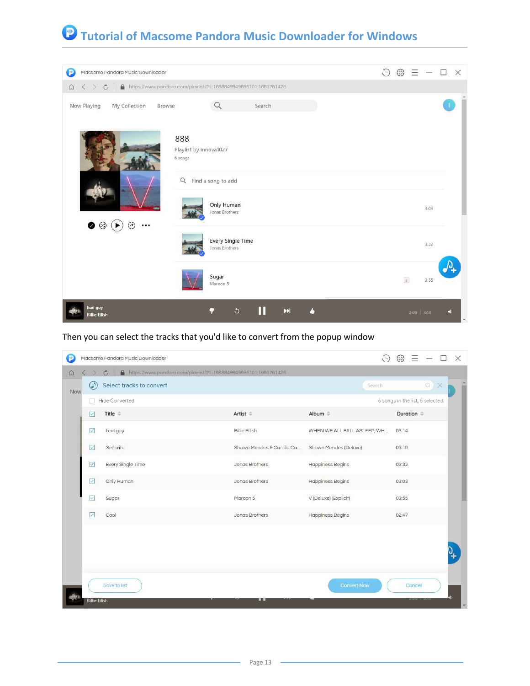

Then you can select the tracks that you'd like to convert from the popup window

|          |                      | Macsome Pandora Music Downloader                                                  |                                                | $\mathcal{F}$                    | X<br><b>EO3</b><br>ᆖ   |
|----------|----------------------|-----------------------------------------------------------------------------------|------------------------------------------------|----------------------------------|------------------------|
| $\Omega$ | く                    | A https://www.pandora.com/playlist/PL1688849949695101:1681761426<br>$\mathcal{C}$ |                                                |                                  |                        |
| Now      | $\cal O$             | Select tracks to convert                                                          | Search                                         | $\alpha$<br>×                    |                        |
|          | п                    | <b>Hide Converted</b>                                                             |                                                | 6 songs in the list, 6 selected. |                        |
|          | $\overline{\vee}$    | Title $\triangleq$                                                                | Artist =                                       | Album $\Leftrightarrow$          | Duration $\Rightarrow$ |
|          | $\checkmark$         | bad guy                                                                           | <b>Billie Eilish</b>                           | WHEN WE ALL FALL ASLEEP, WH      | 03:14                  |
|          | $\overline{\vee}$    | Señorita                                                                          | Shawn Mendes & Camila Ca Shawn Mendes (Deluxe) |                                  | 03:10                  |
|          | $\checkmark$         | Every Single Time                                                                 | Jonas Brothers                                 | Happiness Begins                 | 03:32                  |
|          | ☑                    | Only Human                                                                        | Jonas Brothers                                 | Happiness Begins                 | 03:03                  |
|          | $\triangledown$      | Sugar                                                                             | Maroon 5                                       | V (Deluxe) (Explicit)            | 03:55                  |
|          | $\triangledown$      | Cool                                                                              | Jonas Brothers                                 | <b>Happiness Begins</b>          | 02:47                  |
|          |                      |                                                                                   |                                                |                                  |                        |
|          |                      |                                                                                   |                                                |                                  |                        |
|          |                      | Save to list                                                                      |                                                | <b>Convert Now</b>               | Cancel                 |
|          | <b>Billie Eilish</b> |                                                                                   | $-1$                                           |                                  |                        |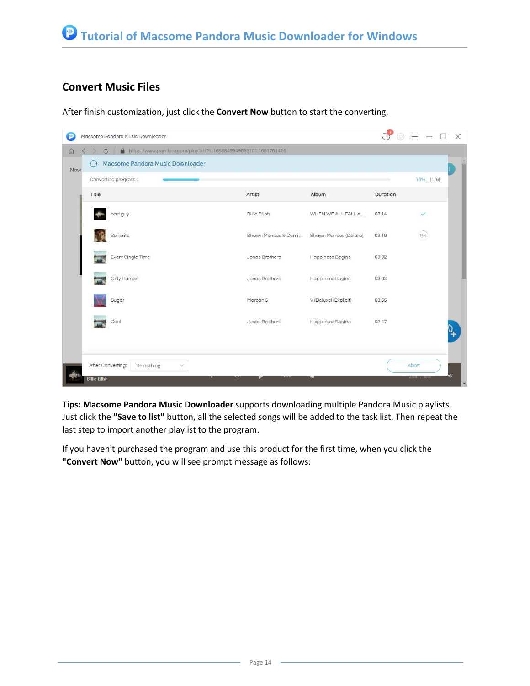### <span id="page-13-1"></span><span id="page-13-0"></span>**Convert Music Files**

After finish customization, just click the **Convert Now** button to start the converting.

|     |                                                                  | Macsome Pandora Music Downloader                               |                      |                         |          | $S^0 \otimes \Xi - \square$ | $\times$ |
|-----|------------------------------------------------------------------|----------------------------------------------------------------|----------------------|-------------------------|----------|-----------------------------|----------|
| Q   | $\mathcal{C}$                                                    | https://www.pandora.com/playlist/PL1688849949695101:1681761426 |                      |                         |          |                             |          |
| Now | $\left( \begin{array}{c} \lambda \\ \lambda \end{array} \right)$ | Macsome Pandora Music Downloader                               |                      |                         |          |                             |          |
|     |                                                                  | Converting progress:                                           |                      |                         |          | $16%$ (1/6)                 |          |
|     | Title                                                            |                                                                | Artist               | Album                   | Duration |                             |          |
|     |                                                                  | bad guy                                                        | <b>Billie Eilish</b> | WHEN WE ALL FALL A      | 03:14    |                             |          |
|     |                                                                  | Señorita                                                       | Shawn Mendes & Cami  | Shawn Mendes (Deluxe)   | 03:10    | 14%                         |          |
|     |                                                                  | Every Single Time                                              | Jonas Brothers       | <b>Happiness Begins</b> | 03:32    |                             |          |
|     |                                                                  | Only Human                                                     | Jonas Brothers       | <b>Happiness Begins</b> | 03:03    |                             |          |
|     |                                                                  | Sugar                                                          | Maroon 5             | V (Deluxe) (Explicit)   | 03:55    |                             |          |
|     |                                                                  | Cool                                                           | Jonas Brothers       | <b>Happiness Begins</b> | 02:47    |                             |          |
|     |                                                                  |                                                                |                      |                         |          |                             |          |
|     | After Converting:<br><b>Billie Eilish</b>                        | Do nothing<br>v.                                               |                      |                         |          | Abort                       |          |

**Tips: Macsome Pandora Music Downloader** supports downloading multiple Pandora Music playlists. Just click the **"Save to list"**button, all the selected songswill be added to the task list. Then repeat the last step to import another playlist to the program.

If you haven't purchased the program and use this product for the first time, when you click the **"Convert Now"** button, you will see prompt message as follows: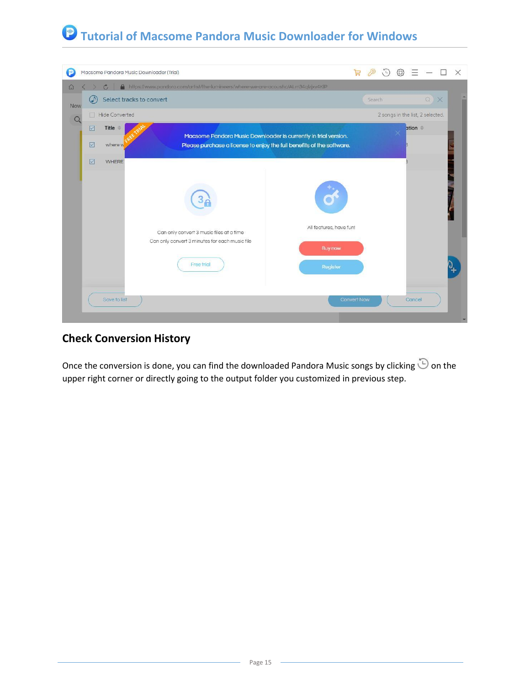|          |                    |                          | Macsome Pandora Music Downloader (Trial)                              |                                                                 |  |                                                                                    |                |             | $\mathbb{R}$ $\otimes$ |                       |  |        | $O$ $\otimes$ $\equiv$ $ \Box$   | X |
|----------|--------------------|--------------------------|-----------------------------------------------------------------------|-----------------------------------------------------------------|--|------------------------------------------------------------------------------------|----------------|-------------|------------------------|-----------------------|--|--------|----------------------------------|---|
| $\Omega$ |                    | C,                       |                                                                       |                                                                 |  | https://www.pandora.com/artist/the-lumineers/where-we-are-acoustic/ALm34qlzjxv4KIP |                |             |                        |                       |  |        |                                  |   |
| Now      | $\mathcal{S}$      | Select tracks to convert |                                                                       |                                                                 |  |                                                                                    |                |             |                        | Search                |  |        | $Q \times$                       |   |
| $\circ$  |                    | Hide Converted           |                                                                       |                                                                 |  |                                                                                    |                |             |                        |                       |  |        | 2 songs in the list, 2 selected. |   |
|          | $\vert \vee \vert$ | Title $\triangleq$       |                                                                       | Macsome Pandora Music Downloader is currently in trial version. |  |                                                                                    |                |             |                        | $ation =$<br>$\times$ |  |        |                                  |   |
|          | $\vert\vee\vert$   | where w                  | Please purchase a license to enjoy the full benefits of the software. |                                                                 |  |                                                                                    |                |             |                        |                       |  |        |                                  |   |
|          | $\triangledown$    | <b>WHERE</b>             |                                                                       |                                                                 |  |                                                                                    |                |             |                        |                       |  |        |                                  |   |
|          |                    |                          |                                                                       |                                                                 |  |                                                                                    |                |             |                        |                       |  |        |                                  |   |
|          |                    |                          |                                                                       | Can only convert 3 music files at a time                        |  | All features, have fun!                                                            |                |             |                        |                       |  |        |                                  |   |
|          |                    |                          |                                                                       | Can only convert 3 minutes for each music file                  |  |                                                                                    | <b>Buy now</b> |             |                        |                       |  |        |                                  |   |
|          |                    |                          |                                                                       | Free trial                                                      |  |                                                                                    | Register       |             |                        |                       |  |        |                                  |   |
|          |                    | Save to list             |                                                                       |                                                                 |  |                                                                                    |                | Convert Now |                        |                       |  | Cancel |                                  |   |

#### <span id="page-14-0"></span>**Check Conversion History**

Once the conversion is done, you can find the downloaded Pandora Music songs by clicking  $\hat{\odot}$  on the upper right corner or directly going to the output folder you customized in previous step.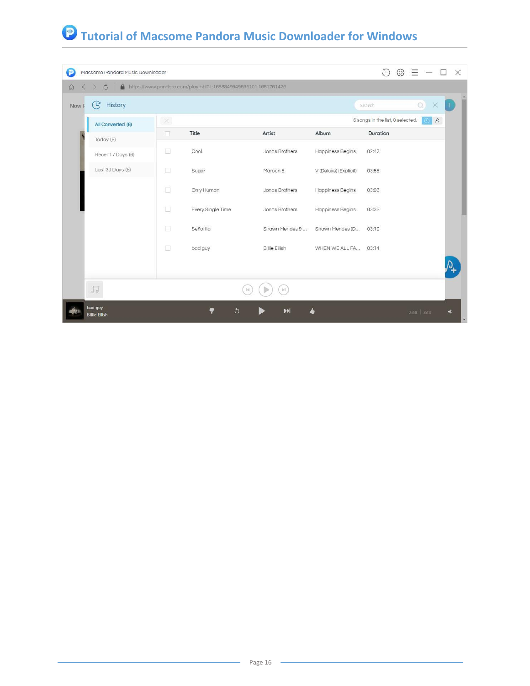|                                            | Macsome Pandora Music Downloader |        |                                                                  |                      |                         | $\bigodot$<br><b>EO3</b>         | 3 - D                | X  |
|--------------------------------------------|----------------------------------|--------|------------------------------------------------------------------|----------------------|-------------------------|----------------------------------|----------------------|----|
| $\bigcirc$<br>$\left\langle \right\rangle$ | $\mathbb{C}$                     |        | A https://www.pandora.com/playlist/PL1688849949695101:1681761426 |                      |                         |                                  |                      |    |
| Now F                                      | (F)<br>History                   |        |                                                                  |                      |                         | Search                           | $\Omega$<br>$\times$ |    |
|                                            | All Converted (6)                | ×      |                                                                  |                      |                         | 6 songs in the list, 0 selected. | $\mathcal{R}$<br>Θ   |    |
|                                            | Today (6)                        | $\Box$ | Title                                                            | Artist               | Album                   | Duration                         |                      |    |
|                                            | $\Box$<br>Recent 7 Days (6)      |        | Cool                                                             | Jonas Brothers       | Happiness Begins        | 02:47                            |                      |    |
|                                            | Last 30 Days (6)                 | o      | Sugar                                                            | Maroon 5             | V (Deluxe) (Explicit)   | 03:55                            |                      |    |
|                                            |                                  | п      | Only Human                                                       | Jonas Brothers       | <b>Happiness Begins</b> | 03:03                            |                      |    |
|                                            |                                  | П      | Every Single Time                                                | Jonas Brothers       | <b>Happiness Begins</b> | 03:32                            |                      |    |
|                                            |                                  | П      | Señorita                                                         | Shawn Mendes &       | Shawn Mendes (D.,,      | 03:10                            |                      |    |
|                                            |                                  | LT.    | bad guy                                                          | <b>Billie Eilish</b> | WHEN WE ALL FA 03:14    |                                  |                      |    |
|                                            |                                  |        |                                                                  |                      |                         |                                  |                      |    |
|                                            | $\sqrt{s}$                       |        | $\mathbb{N}$                                                     | $\mathbb{H}$         |                         |                                  |                      |    |
|                                            | bad guy<br><b>Billie Eilish</b>  |        | G                                                                | H                    |                         |                                  | $2:58$ 3:14          | ٢D |